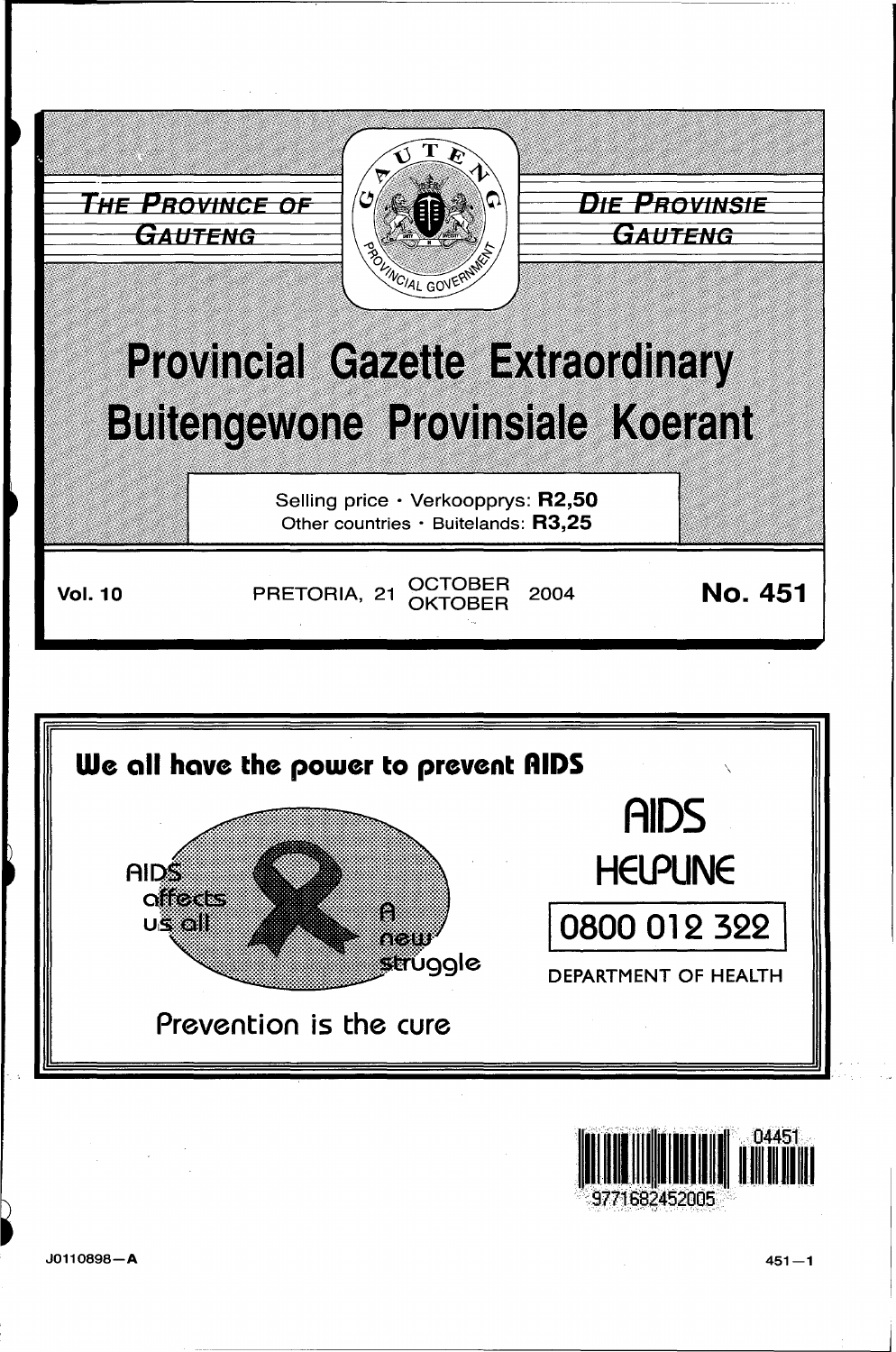





J0110898-A